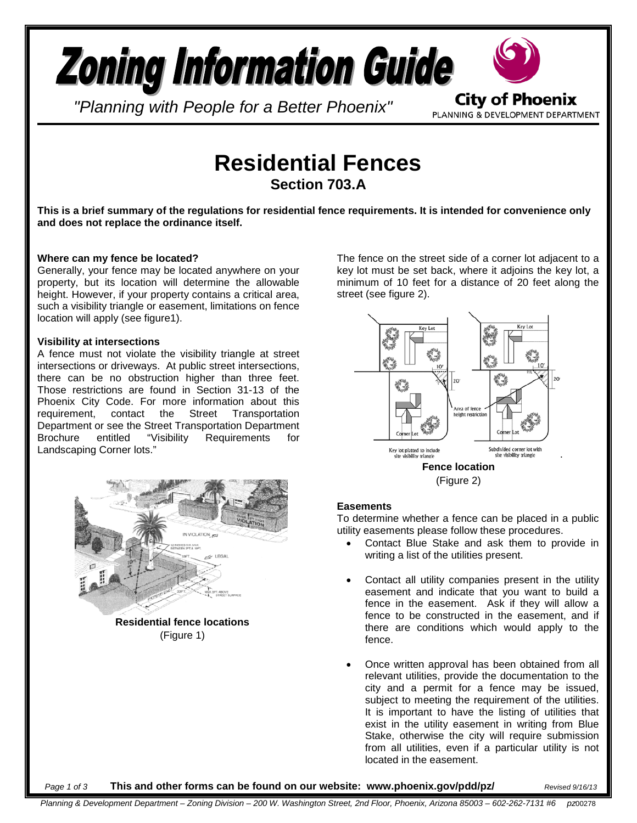# **Zoning Information Guide City of Phoenix**

*"Planning with People for a Better Phoenix"*

PLANNING & DEVELOPMENT DEPARTMENT

## **Residential Fences Section 703.A**

**This is a brief summary of the regulations for residential fence requirements. It is intended for convenience only and does not replace the ordinance itself.**

#### **Where can my fence be located?**

Generally, your fence may be located anywhere on your property, but its location will determine the allowable height. However, if your property contains a critical area, such a visibility triangle or easement, limitations on fence location will apply (see figure1).

#### **Visibility at intersections**

A fence must not violate the visibility triangle at street intersections or driveways. At public street intersections, there can be no obstruction higher than three feet. Those restrictions are found in Section 31-13 of the Phoenix City Code. For more information about this requirement, contact the Street Transportation Department or see the Street Transportation Department<br>Brochure entitled "Visibility Requirements for Brochure entitled "Visibility Requirements for Landscaping Corner lots."



**Residential fence locations** (Figure 1)

The fence on the street side of a corner lot adjacent to a key lot must be set back, where it adjoins the key lot, a minimum of 10 feet for a distance of 20 feet along the street (see figure 2).



#### **Easements**

To determine whether a fence can be placed in a public utility easements please follow these procedures.

- Contact Blue Stake and ask them to provide in writing a list of the utilities present.
- Contact all utility companies present in the utility easement and indicate that you want to build a fence in the easement. Ask if they will allow a fence to be constructed in the easement, and if there are conditions which would apply to the fence.
- Once written approval has been obtained from all relevant utilities, provide the documentation to the city and a permit for a fence may be issued, subject to meeting the requirement of the utilities. It is important to have the listing of utilities that exist in the utility easement in writing from Blue Stake, otherwise the city will require submission from all utilities, even if a particular utility is not located in the easement.

#### *Page 1 of 3* **This and other forms can be found on our website: www.phoenix.gov/pdd/pz/** *Revised 9/16/13*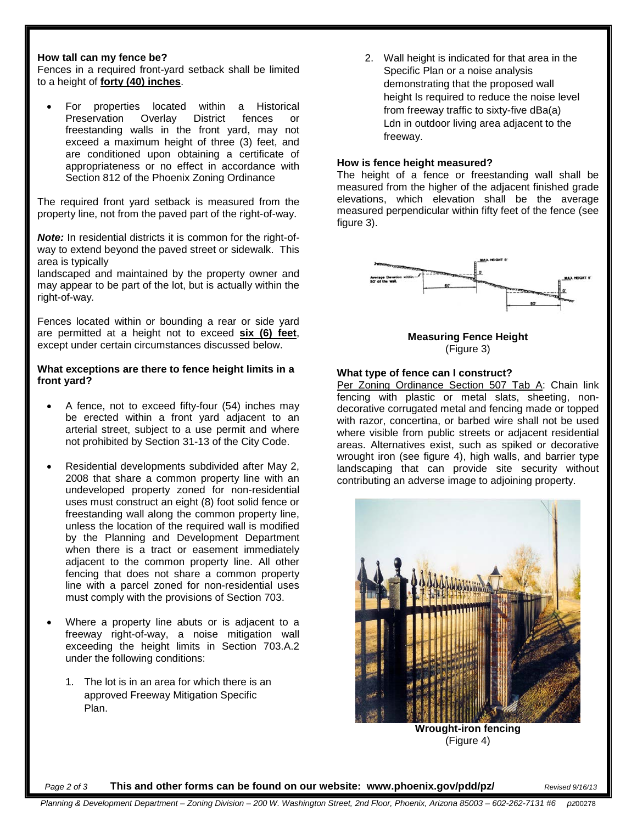#### **How tall can my fence be?**

Fences in a required front-yard setback shall be limited to a height of **forty (40) inches**.

• For properties located within a Historical Preservation Overlay District fences or freestanding walls in the front yard, may not exceed a maximum height of three (3) feet, and are conditioned upon obtaining a certificate of appropriateness or no effect in accordance with Section 812 of the Phoenix Zoning Ordinance

The required front yard setback is measured from the property line, not from the paved part of the right-of-way.

*Note:* In residential districts it is common for the right-ofway to extend beyond the paved street or sidewalk. This area is typically

landscaped and maintained by the property owner and may appear to be part of the lot, but is actually within the right-of-way*.* 

Fences located within or bounding a rear or side yard are permitted at a height not to exceed **six (6) feet**, except under certain circumstances discussed below.

#### **What exceptions are there to fence height limits in a front yard?**

- A fence, not to exceed fifty-four (54) inches may be erected within a front yard adjacent to an arterial street, subject to a use permit and where not prohibited by Section 31-13 of the City Code.
- Residential developments subdivided after May 2, 2008 that share a common property line with an undeveloped property zoned for non-residential uses must construct an eight (8) foot solid fence or freestanding wall along the common property line, unless the location of the required wall is modified by the Planning and Development Department when there is a tract or easement immediately adjacent to the common property line. All other fencing that does not share a common property line with a parcel zoned for non-residential uses must comply with the provisions of Section 703.
- Where a property line abuts or is adjacent to a freeway right-of-way, a noise mitigation wall exceeding the height limits in Section 703.A.2 under the following conditions:
	- 1. The lot is in an area for which there is an approved Freeway Mitigation Specific Plan.

2. Wall height is indicated for that area in the Specific Plan or a noise analysis demonstrating that the proposed wall height Is required to reduce the noise level from freeway traffic to sixty-five dBa(a) Ldn in outdoor living area adjacent to the freeway.

#### **How is fence height measured?**

The height of a fence or freestanding wall shall be measured from the higher of the adjacent finished grade elevations, which elevation shall be the average measured perpendicular within fifty feet of the fence (see figure 3).



**Measuring Fence Height** (Figure 3)

#### **What type of fence can I construct?**

Per Zoning Ordinance Section 507 Tab A: Chain link fencing with plastic or metal slats, sheeting, nondecorative corrugated metal and fencing made or topped with razor, concertina, or barbed wire shall not be used where visible from public streets or adjacent residential areas. Alternatives exist, such as spiked or decorative wrought iron (see figure 4), high walls, and barrier type landscaping that can provide site security without contributing an adverse image to adjoining property.



**Wrought-iron fencing** (Figure 4)

*Page 2 of 3* **This and other forms can be found on our website: www.phoenix.gov/pdd/pz/** *Revised 9/16/13*